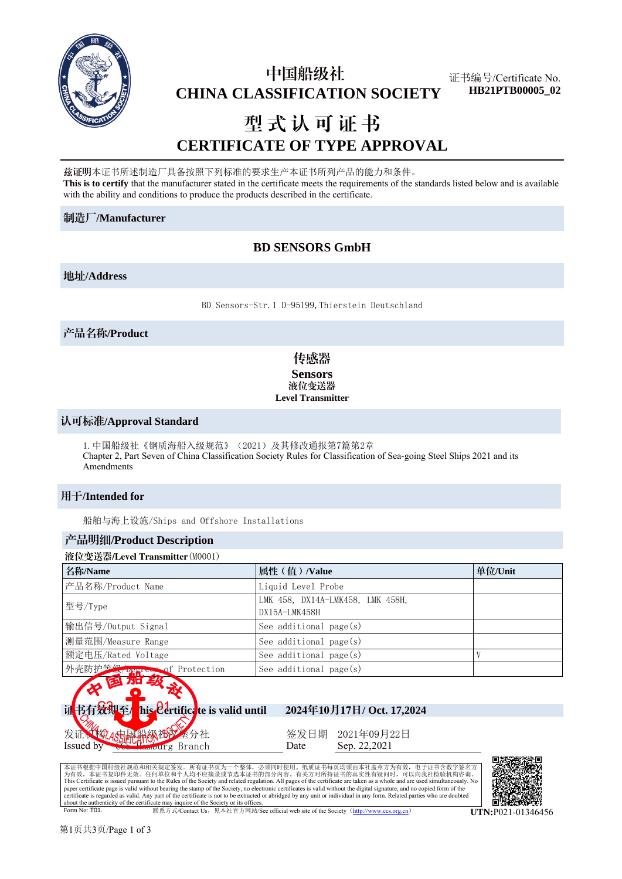

## 中国船级社  **CHINA CLASSIFICATION SOCIETY**

证书编号/Certificate No. **HB21PTB00005\_02**

# 型式认可证书 **CERTIFICATE OF TYPE APPROVAL**

兹证明本证书所述制造厂具备按照下列标准的要求生产本证书所列产品的能力和条件。 **This is to certify** that the manufacturer stated in the certificate meets the requirements of the standards listed below and is available with the ability and conditions to produce the products described in the certificate.

#### 制造厂**/Manufacturer**

## **BD SENSORS GmbH**

#### 地址**/Address**

BD Sensors-Str.1 D-95199,Thierstein Deutschland

## 产品名称**/Product**

## 传感器 **Sensors** 液位变送器 **Level Transmitter**

#### 认可标准**/Approval Standard**

```
1.中国船级社《钢质海船入级规范》(2021)及其修改通报第7篇第2章
Chapter 2, Part Seven of China Classification Society Rules for Classification of Sea-going Steel Ships 2021 and its 
Amendments
```
## 用于**/Intended for**

船舶与海上设施/Ships and Offshore Installations

#### 产品明细**/Product Description**

#### 液位变送器/Level Transmitter(M0001)

| 名称/Name                      | 属性 (值) /Value                                     | 单位/Unit |
|------------------------------|---------------------------------------------------|---------|
| 产品名称/Product Name            | Liquid Level Probe                                |         |
| 型号/Type                      | LMK 458, DX14A-LMK458, LMK 458H,<br>DX15A-LMK458H |         |
| 输出信号/Output Signal           | See additional $page(s)$                          |         |
| 测量范围/Measure Range           | See additional $page(s)$                          |         |
| 额定电压/Rated Voltage           | See additional page(s)                            |         |
| 外壳防护笔级/percess of Protection | See additional $page(s)$                          |         |



发证 Issued by 45 国船级社义金分社 burg Branch

签发日期 Date 2021年09月22日 Sep. 22,2021

本证书根据中国船级社规范和相关规定签发。所有证书页为一个整体,必须同时使用。纸质证书每页均须由本社盖章方为有效,电子证书含数字签名方<br>为有效,本证书复印件无效。任何单位和个人均不应摘录或节选本证书的部分内容。有关方对所持证书的真实性有疑问时,可以向我社检验机构咨询。 This Certificate is issued pursuant to the Rules of the Society and related regulation. All pages of the certificate are taken as a whole and are used simultaneously. No<br>paper certificate page is valid without bearing the certificate is regarded as valid. Any part of the certificate is not to be extracted or abridged by any unit or individual in any form. Related parties who are doubted about the authenticity of the certificate may inquire of the Society or its offices.<br>
Form No: T01



联系方式/Contact Us, 见本社官方网站/See official web site of the Society (http://www.ccs.org.cn) **UTN:**P021-01346456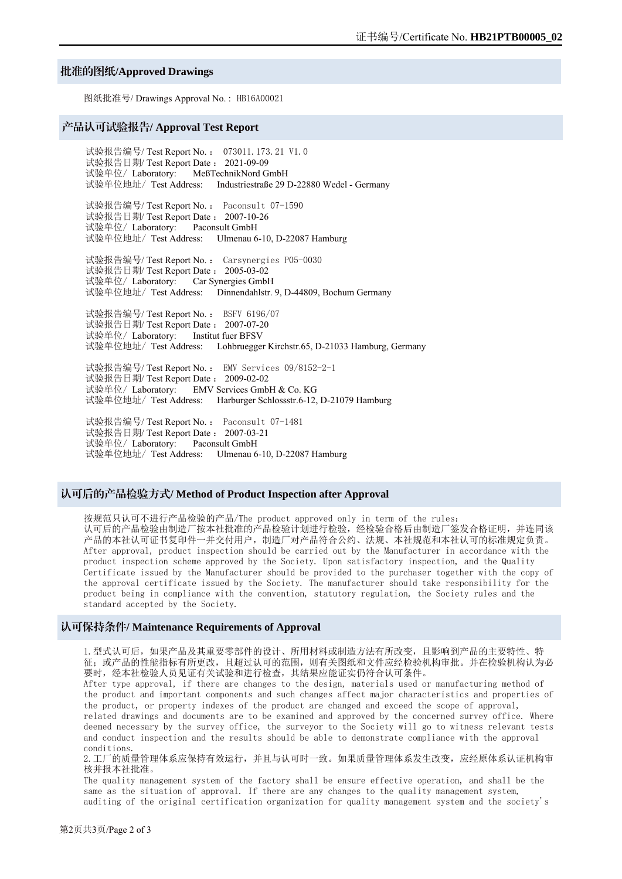#### 批准的图纸**/Approved Drawings**

图纸批准号/ Drawings Approval No. : HB16A00021

#### 产品认可试验报告**/ Approval Test Report**

试验报告编号/ Test Report No. : 073011.173.21 V1.0 试验报告日期/ Test Report Date : 2021-09-09 试验单位/ Laboratory: MeßTechnikNord GmbH 试验单位地址/ Test Address: Industriestraße 29 D-22880 Wedel - Germany

试验报告编号/ Test Report No. : Paconsult 07-1590 试验报告日期/ Test Report Date : 2007-10-26 试验单位/ Laboratory: Paconsult GmbH 试验单位地址/ Test Address: Ulmenau 6-10, D-22087 Hamburg

试验报告编号/ Test Report No. : Carsynergies P05-0030 试验报告日期/ Test Report Date : 2005-03-02 试验单位/ Laboratory: Car Synergies GmbH 试验单位地址/ Test Address: Dinnendahlstr. 9, D-44809, Bochum Germany

试验报告编号/ Test Report No. : BSFV 6196/07 试验报告日期/ Test Report Date : 2007-07-20 试验单位/ Laboratory: Institut fuer BFSV 试验单位地址/ Test Address: Lohbruegger Kirchstr.65, D-21033 Hamburg, Germany

试验报告编号/ Test Report No. : EMV Services 09/8152-2-1 试验报告日期/ Test Report Date : 2009-02-02 试验单位/ Laboratory: EMV Services GmbH & Co. KG 试验单位地址/ Test Address: Harburger Schlossstr.6-12, D-21079 Hamburg

试验报告编号/ Test Report No. : Paconsult 07-1481 试验报告日期/ Test Report Date : 2007-03-21 试验单位/ Laboratory: Paconsult GmbH 试验单位地址/ Test Address: Ulmenau 6-10, D-22087 Hamburg

#### 认可后的产品检验方式**/ Method of Product Inspection after Approval**

按规范只认可不进行产品检验的产品/The product approved only in term of the rules: 认可后的产品检验由制造厂按本社批准的产品检验计划进行检验,经检验合格后由制造厂签发合格证明,并连同该 产品的本社认可证书复印件一并交付用户,制造厂对产品符合公约、法规、本社规范和本社认可的标准规定负责。 After approval, product inspection should be carried out by the Manufacturer in accordance with the product inspection scheme approved by the Society. Upon satisfactory inspection, and the Quality Certificate issued by the Manufacturer should be provided to the purchaser together with the copy of the approval certificate issued by the Society. The manufacturer should take responsibility for the product being in compliance with the convention, statutory regulation, the Society rules and the standard accepted by the Society.

#### 认可保持条件**/ Maintenance Requirements of Approval**

1.型式认可后,如果产品及其重要零部件的设计、所用材料或制造方法有所改变,且影响到产品的主要特性、特 征;或产品的性能指标有所更改,且超过认可的范围,则有关图纸和文件应经检验机构审批。并在检验机构认为必 要时,经本社检验人员见证有关试验和进行检查,其结果应能证实仍符合认可条件。

After type approval, if there are changes to the design, materials used or manufacturing method of the product and important components and such changes affect major characteristics and properties of the product, or property indexes of the product are changed and exceed the scope of approval, related drawings and documents are to be examined and approved by the concerned survey office. Where deemed necessary by the survey office, the surveyor to the Society will go to witness relevant tests and conduct inspection and the results should be able to demonstrate compliance with the approval conditions.

2.工厂的质量管理体系应保持有效运行,并且与认可时一致。如果质量管理体系发生改变,应经原体系认证机构审 核并报本社批准。

The quality management system of the factory shall be ensure effective operation, and shall be the same as the situation of approval. If there are any changes to the quality management system, auditing of the original certification organization for quality management system and the society's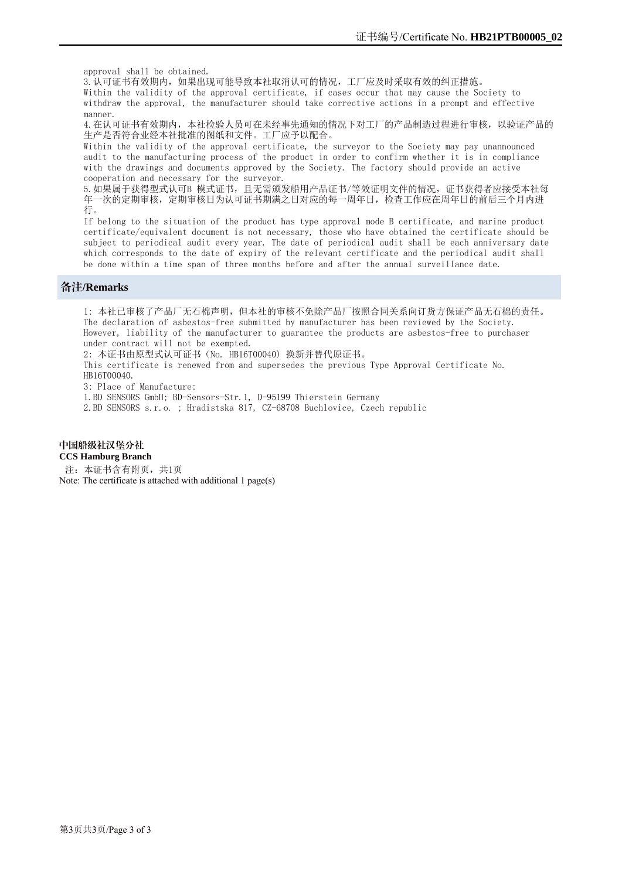approval shall be obtained.

3. 认可证书有效期内, 如果出现可能导致本社取消认可的情况, 工厂应及时采取有效的纠正措施。 Within the validity of the approval certificate, if cases occur that may cause the Society to withdraw the approval, the manufacturer should take corrective actions in a prompt and effective

4. 在认可证书有效期内, 本社检验人员可在未经事先通知的情况下对工厂的产品制造过程进行审核, 以验证产品的 生产是否符合业经本社批准的图纸和文件。工厂应予以配合。

Within the validity of the approval certificate, the surveyor to the Society may pay unannounced audit to the manufacturing process of the product in order to confirm whether it is in compliance with the drawings and documents approved by the Society. The factory should provide an active cooperation and necessary for the surveyor.

5. 如果属于获得型式认可B 模式证书, 且无需颁发船用产品证书/等效证明文件的情况, 证书获得者应接受本社每 年一次的定期审核,定期审核日为认可证书期满之日对应的每一周年日,检查工作应在周年日的前后三个月内进 行。

If belong to the situation of the product has type approval mode B certificate, and marine product certificate/equivalent document is not necessary, those who have obtained the certificate should be subject to periodical audit every year. The date of periodical audit shall be each anniversary date which corresponds to the date of expiry of the relevant certificate and the periodical audit shall be done within a time span of three months before and after the annual surveillance date.

#### 备注**/Remarks**

manner.

1: 本社已审核了产品厂无石棉声明,但本社的审核不免除产品厂按照合同关系向订货方保证产品无石棉的责任。 The declaration of asbestos-free submitted by manufacturer has been reviewed by the Society. However, liability of the manufacturer to guarantee the products are asbestos-free to purchaser under contract will not be exempted.

2: 本证书由原型式认可证书(No. HB16T00040) 换新并替代原证书。

This certificate is renewed from and supersedes the previous Type Approval Certificate No. HB16T00040.

3: Place of Manufacture:

1.BD SENSORS GmbH; BD-Sensors-Str.1, D-95199 Thierstein Germany

2.BD SENSORS s.r.o. ; Hradistska 817, CZ-68708 Buchlovice, Czech republic

## 中国船级社汉堡分社

**CCS Hamburg Branch**  注: 本证书含有附页, 共1页

Note: The certificate is attached with additional 1 page(s)